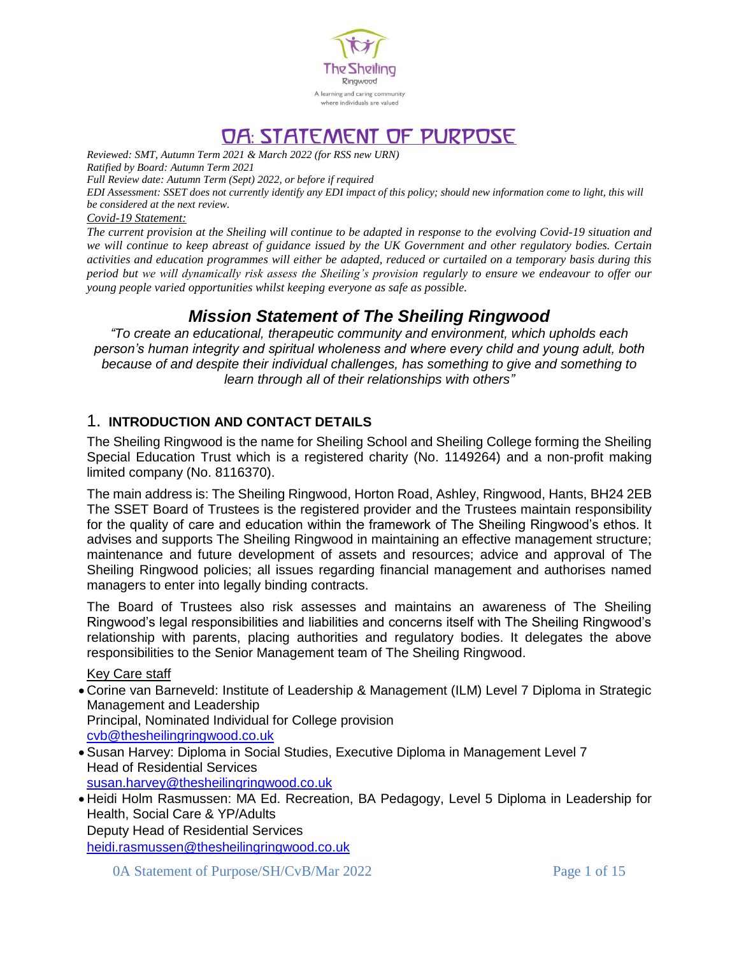

# 0A: STATEMENT OF PURPOSE

*Reviewed: SMT, Autumn Term 2021 & March 2022 (for RSS new URN) Ratified by Board: Autumn Term 2021 Full Review date: Autumn Term (Sept) 2022, or before if required*

*EDI Assessment: SSET does not currently identify any EDI impact of this policy; should new information come to light, this will be considered at the next review.*

*Covid-19 Statement:* 

*The current provision at the Sheiling will continue to be adapted in response to the evolving Covid-19 situation and we will continue to keep abreast of guidance issued by the UK Government and other regulatory bodies. Certain activities and education programmes will either be adapted, reduced or curtailed on a temporary basis during this period but we will dynamically risk assess the Sheiling's provision regularly to ensure we endeavour to offer our young people varied opportunities whilst keeping everyone as safe as possible.* 

# *Mission Statement of The Sheiling Ringwood*

*"To create an educational, therapeutic community and environment, which upholds each person's human integrity and spiritual wholeness and where every child and young adult, both because of and despite their individual challenges, has something to give and something to learn through all of their relationships with others"*

# 1. **INTRODUCTION AND CONTACT DETAILS**

The Sheiling Ringwood is the name for Sheiling School and Sheiling College forming the Sheiling Special Education Trust which is a registered charity (No. 1149264) and a non-profit making limited company (No. 8116370).

The main address is: The Sheiling Ringwood, Horton Road, Ashley, Ringwood, Hants, BH24 2EB The SSET Board of Trustees is the registered provider and the Trustees maintain responsibility for the quality of care and education within the framework of The Sheiling Ringwood's ethos. It advises and supports The Sheiling Ringwood in maintaining an effective management structure; maintenance and future development of assets and resources; advice and approval of The Sheiling Ringwood policies; all issues regarding financial management and authorises named managers to enter into legally binding contracts.

The Board of Trustees also risk assesses and maintains an awareness of The Sheiling Ringwood's legal responsibilities and liabilities and concerns itself with The Sheiling Ringwood's relationship with parents, placing authorities and regulatory bodies. It delegates the above responsibilities to the Senior Management team of The Sheiling Ringwood.

Key Care staff

 Corine van Barneveld: Institute of Leadership & Management (ILM) Level 7 Diploma in Strategic Management and Leadership Principal, Nominated Individual for College provision [cvb@thesheilingringwood.co.uk](mailto:cvb@thesheilingringwood.co.uk)

- Susan Harvey: Diploma in Social Studies, Executive Diploma in Management Level 7 Head of Residential Services [susan.harvey@thesheilingringwood.co.uk](mailto:susan.harvey@thesheilingringwood.co.uk)
- Heidi Holm Rasmussen: MA Ed. Recreation, BA Pedagogy, Level 5 Diploma in Leadership for Health, Social Care & YP/Adults Deputy Head of Residential Services [heidi.rasmussen@thesheilingringwood.co.uk](mailto:heidi.rasmussen@thesheilingringwood.co.uk)

0A Statement of Purpose/SH/CvB/Mar 2022 Page 1 of 15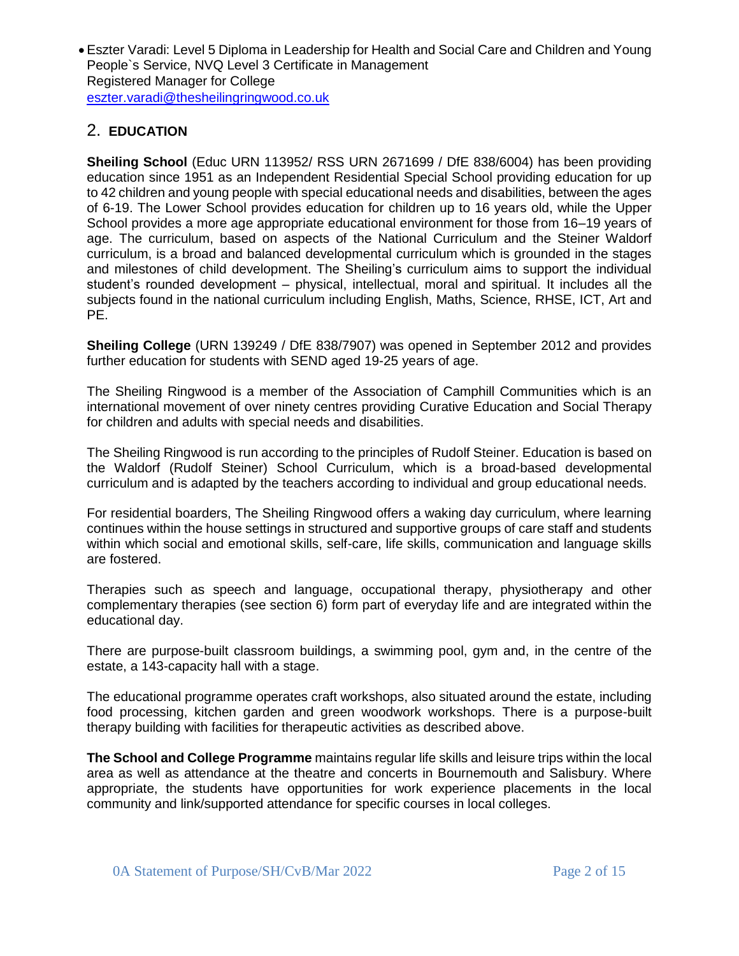Eszter Varadi: Level 5 Diploma in Leadership for Health and Social Care and Children and Young People`s Service, NVQ Level 3 Certificate in Management Registered Manager for College [eszter.varadi@thesheilingringwood.co.uk](mailto:eszter.varadi@thesheilingringwood.co.uk)

# 2. **EDUCATION**

**Sheiling School** (Educ URN 113952/ RSS URN 2671699 / DfE 838/6004) has been providing education since 1951 as an Independent Residential Special School providing education for up to 42 children and young people with special educational needs and disabilities, between the ages of 6-19. The Lower School provides education for children up to 16 years old, while the Upper School provides a more age appropriate educational environment for those from 16–19 years of age. The curriculum, based on aspects of the National Curriculum and the Steiner Waldorf curriculum, is a broad and balanced developmental curriculum which is grounded in the stages and milestones of child development. The Sheiling's curriculum aims to support the individual student's rounded development – physical, intellectual, moral and spiritual. It includes all the subjects found in the national curriculum including English, Maths, Science, RHSE, ICT, Art and PE.

**Sheiling College** (URN 139249 / DfE 838/7907) was opened in September 2012 and provides further education for students with SEND aged 19-25 years of age.

The Sheiling Ringwood is a member of the Association of Camphill Communities which is an international movement of over ninety centres providing Curative Education and Social Therapy for children and adults with special needs and disabilities.

The Sheiling Ringwood is run according to the principles of Rudolf Steiner. Education is based on the Waldorf (Rudolf Steiner) School Curriculum, which is a broad-based developmental curriculum and is adapted by the teachers according to individual and group educational needs.

For residential boarders, The Sheiling Ringwood offers a waking day curriculum, where learning continues within the house settings in structured and supportive groups of care staff and students within which social and emotional skills, self-care, life skills, communication and language skills are fostered.

Therapies such as speech and language, occupational therapy, physiotherapy and other complementary therapies (see section 6) form part of everyday life and are integrated within the educational day.

There are purpose-built classroom buildings, a swimming pool, gym and, in the centre of the estate, a 143-capacity hall with a stage.

The educational programme operates craft workshops, also situated around the estate, including food processing, kitchen garden and green woodwork workshops. There is a purpose-built therapy building with facilities for therapeutic activities as described above.

**The School and College Programme** maintains regular life skills and leisure trips within the local area as well as attendance at the theatre and concerts in Bournemouth and Salisbury. Where appropriate, the students have opportunities for work experience placements in the local community and link/supported attendance for specific courses in local colleges.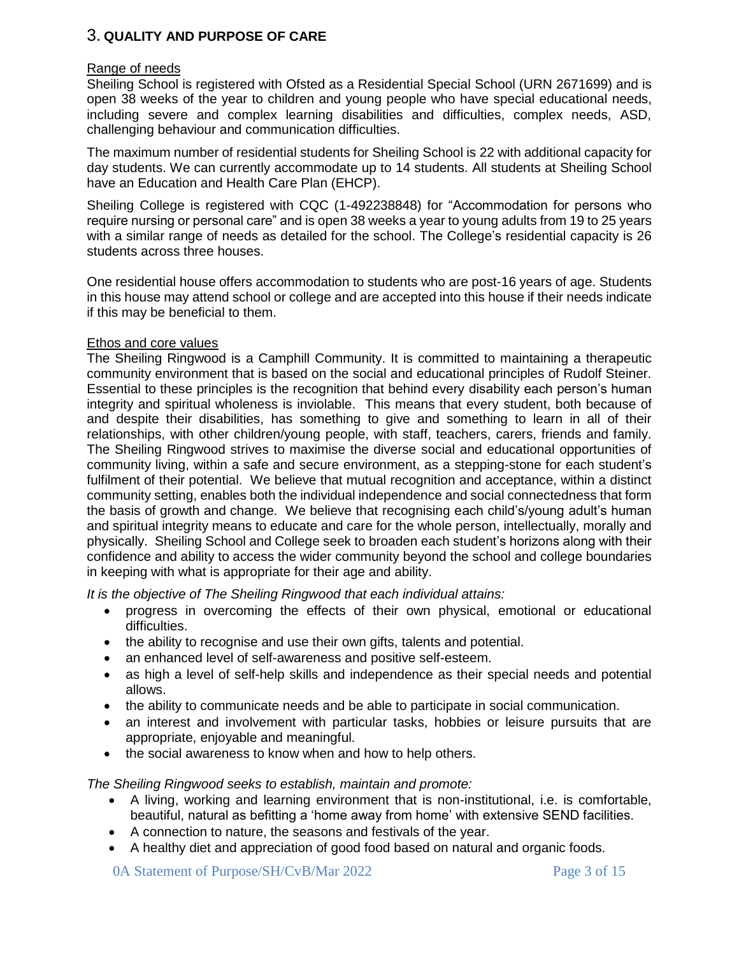# 3. **QUALITY AND PURPOSE OF CARE**

### Range of needs

Sheiling School is registered with Ofsted as a Residential Special School (URN 2671699) and is open 38 weeks of the year to children and young people who have special educational needs, including severe and complex learning disabilities and difficulties, complex needs, ASD, challenging behaviour and communication difficulties.

The maximum number of residential students for Sheiling School is 22 with additional capacity for day students. We can currently accommodate up to 14 students. All students at Sheiling School have an Education and Health Care Plan (EHCP).

Sheiling College is registered with CQC (1-492238848) for "Accommodation for persons who require nursing or personal care" and is open 38 weeks a year to young adults from 19 to 25 years with a similar range of needs as detailed for the school. The College's residential capacity is 26 students across three houses.

One residential house offers accommodation to students who are post-16 years of age. Students in this house may attend school or college and are accepted into this house if their needs indicate if this may be beneficial to them.

### Ethos and core values

The Sheiling Ringwood is a Camphill Community. It is committed to maintaining a therapeutic community environment that is based on the social and educational principles of Rudolf Steiner. Essential to these principles is the recognition that behind every disability each person's human integrity and spiritual wholeness is inviolable. This means that every student, both because of and despite their disabilities, has something to give and something to learn in all of their relationships, with other children/young people, with staff, teachers, carers, friends and family. The Sheiling Ringwood strives to maximise the diverse social and educational opportunities of community living, within a safe and secure environment, as a stepping-stone for each student's fulfilment of their potential. We believe that mutual recognition and acceptance, within a distinct community setting, enables both the individual independence and social connectedness that form the basis of growth and change. We believe that recognising each child's/young adult's human and spiritual integrity means to educate and care for the whole person, intellectually, morally and physically. Sheiling School and College seek to broaden each student's horizons along with their confidence and ability to access the wider community beyond the school and college boundaries in keeping with what is appropriate for their age and ability.

*It is the objective of The Sheiling Ringwood that each individual attains:*

- progress in overcoming the effects of their own physical, emotional or educational difficulties.
- the ability to recognise and use their own gifts, talents and potential.
- an enhanced level of self-awareness and positive self-esteem.
- as high a level of self-help skills and independence as their special needs and potential allows.
- the ability to communicate needs and be able to participate in social communication.
- an interest and involvement with particular tasks, hobbies or leisure pursuits that are appropriate, enjoyable and meaningful.
- the social awareness to know when and how to help others.

*The Sheiling Ringwood seeks to establish, maintain and promote:*

- A living, working and learning environment that is non-institutional, i.e. is comfortable, beautiful, natural as befitting a 'home away from home' with extensive SEND facilities.
- A connection to nature, the seasons and festivals of the year.
- A healthy diet and appreciation of good food based on natural and organic foods.

0A Statement of Purpose/SH/CvB/Mar 2022 Page 3 of 15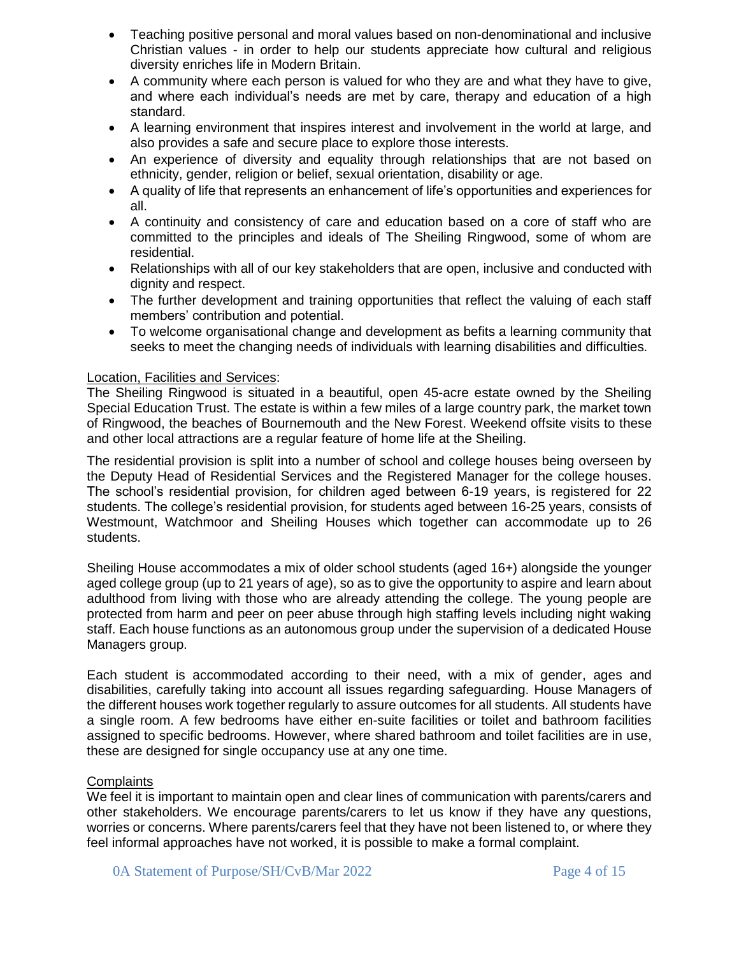- Teaching positive personal and moral values based on non-denominational and inclusive Christian values - in order to help our students appreciate how cultural and religious diversity enriches life in Modern Britain.
- A community where each person is valued for who they are and what they have to give, and where each individual's needs are met by care, therapy and education of a high standard.
- A learning environment that inspires interest and involvement in the world at large, and also provides a safe and secure place to explore those interests.
- An experience of diversity and equality through relationships that are not based on ethnicity, gender, religion or belief, sexual orientation, disability or age.
- A quality of life that represents an enhancement of life's opportunities and experiences for all.
- A continuity and consistency of care and education based on a core of staff who are committed to the principles and ideals of The Sheiling Ringwood, some of whom are residential.
- Relationships with all of our key stakeholders that are open, inclusive and conducted with dignity and respect.
- The further development and training opportunities that reflect the valuing of each staff members' contribution and potential.
- To welcome organisational change and development as befits a learning community that seeks to meet the changing needs of individuals with learning disabilities and difficulties.

### Location, Facilities and Services:

The Sheiling Ringwood is situated in a beautiful, open 45-acre estate owned by the Sheiling Special Education Trust. The estate is within a few miles of a large country park, the market town of Ringwood, the beaches of Bournemouth and the New Forest. Weekend offsite visits to these and other local attractions are a regular feature of home life at the Sheiling.

The residential provision is split into a number of school and college houses being overseen by the Deputy Head of Residential Services and the Registered Manager for the college houses. The school's residential provision, for children aged between 6-19 years, is registered for 22 students. The college's residential provision, for students aged between 16-25 years, consists of Westmount, Watchmoor and Sheiling Houses which together can accommodate up to 26 students.

Sheiling House accommodates a mix of older school students (aged 16+) alongside the younger aged college group (up to 21 years of age), so as to give the opportunity to aspire and learn about adulthood from living with those who are already attending the college. The young people are protected from harm and peer on peer abuse through high staffing levels including night waking staff. Each house functions as an autonomous group under the supervision of a dedicated House Managers group.

Each student is accommodated according to their need, with a mix of gender, ages and disabilities, carefully taking into account all issues regarding safeguarding. House Managers of the different houses work together regularly to assure outcomes for all students. All students have a single room. A few bedrooms have either en-suite facilities or toilet and bathroom facilities assigned to specific bedrooms. However, where shared bathroom and toilet facilities are in use, these are designed for single occupancy use at any one time.

### **Complaints**

We feel it is important to maintain open and clear lines of communication with parents/carers and other stakeholders. We encourage parents/carers to let us know if they have any questions, worries or concerns. Where parents/carers feel that they have not been listened to, or where they feel informal approaches have not worked, it is possible to make a formal complaint.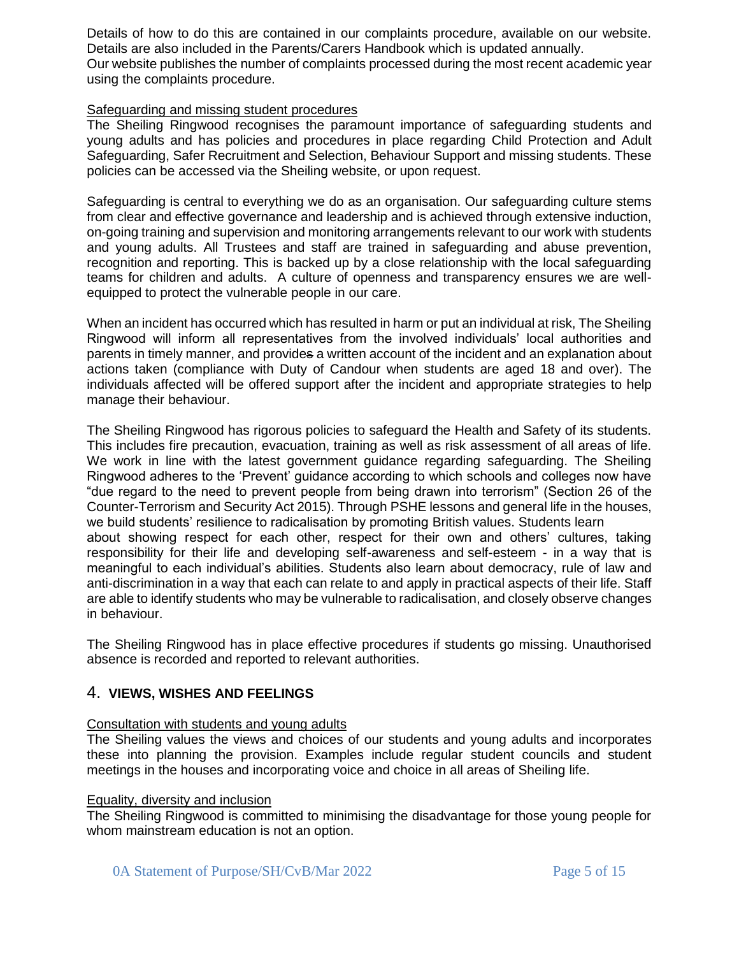Details of how to do this are contained in our complaints procedure, available on our website. Details are also included in the Parents/Carers Handbook which is updated annually. Our website publishes the number of complaints processed during the most recent academic year using the complaints procedure.

### Safeguarding and missing student procedures

The Sheiling Ringwood recognises the paramount importance of safeguarding students and young adults and has policies and procedures in place regarding Child Protection and Adult Safeguarding, Safer Recruitment and Selection, Behaviour Support and missing students. These policies can be accessed via the Sheiling website, or upon request.

Safeguarding is central to everything we do as an organisation. Our safeguarding culture stems from clear and effective governance and leadership and is achieved through extensive induction, on-going training and supervision and monitoring arrangements relevant to our work with students and young adults. All Trustees and staff are trained in safeguarding and abuse prevention, recognition and reporting. This is backed up by a close relationship with the local safeguarding teams for children and adults. A culture of openness and transparency ensures we are wellequipped to protect the vulnerable people in our care.

When an incident has occurred which has resulted in harm or put an individual at risk, The Sheiling Ringwood will inform all representatives from the involved individuals' local authorities and parents in timely manner, and provides a written account of the incident and an explanation about actions taken (compliance with Duty of Candour when students are aged 18 and over). The individuals affected will be offered support after the incident and appropriate strategies to help manage their behaviour.

The Sheiling Ringwood has rigorous policies to safeguard the Health and Safety of its students. This includes fire precaution, evacuation, training as well as risk assessment of all areas of life. We work in line with the latest government guidance regarding safeguarding. The Sheiling Ringwood adheres to the 'Prevent' guidance according to which schools and colleges now have "due regard to the need to prevent people from being drawn into terrorism" (Section 26 of the Counter-Terrorism and Security Act 2015). Through PSHE lessons and general life in the houses, we build students' resilience to radicalisation by promoting British values. Students learn about showing respect for each other, respect for their own and others' cultures, taking responsibility for their life and developing self-awareness and self-esteem - in a way that is meaningful to each individual's abilities. Students also learn about democracy, rule of law and anti-discrimination in a way that each can relate to and apply in practical aspects of their life. Staff are able to identify students who may be vulnerable to radicalisation, and closely observe changes in behaviour.

The Sheiling Ringwood has in place effective procedures if students go missing. Unauthorised absence is recorded and reported to relevant authorities.

## 4. **VIEWS, WISHES AND FEELINGS**

#### Consultation with students and young adults

The Sheiling values the views and choices of our students and young adults and incorporates these into planning the provision. Examples include regular student councils and student meetings in the houses and incorporating voice and choice in all areas of Sheiling life.

### Equality, diversity and inclusion

The Sheiling Ringwood is committed to minimising the disadvantage for those young people for whom mainstream education is not an option.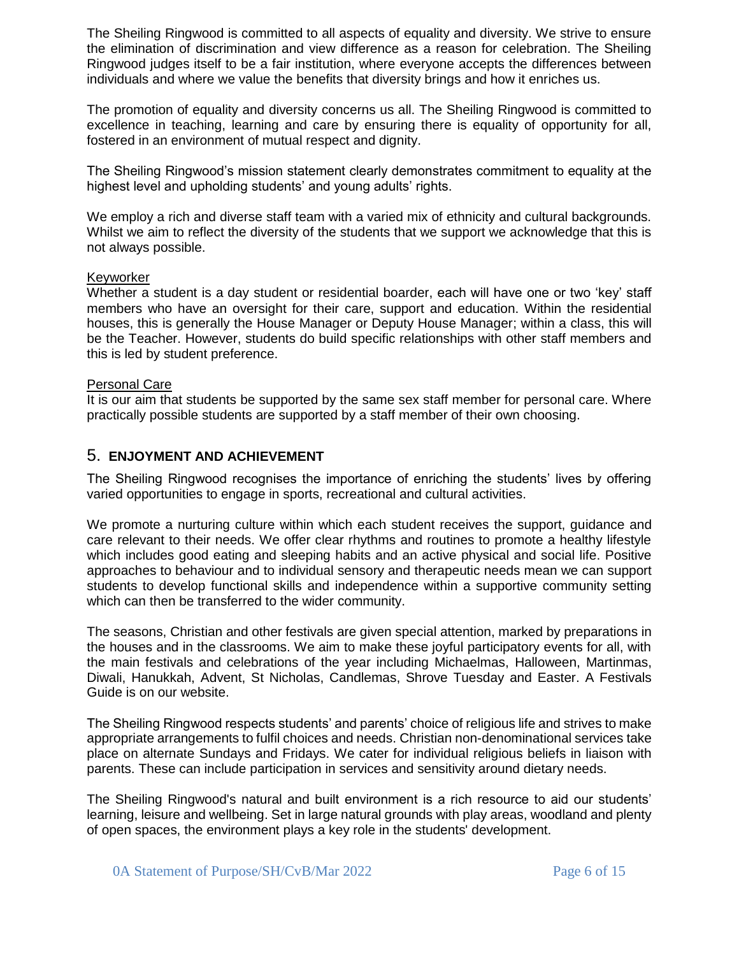The Sheiling Ringwood is committed to all aspects of equality and diversity. We strive to ensure the elimination of discrimination and view difference as a reason for celebration. The Sheiling Ringwood judges itself to be a fair institution, where everyone accepts the differences between individuals and where we value the benefits that diversity brings and how it enriches us.

The promotion of equality and diversity concerns us all. The Sheiling Ringwood is committed to excellence in teaching, learning and care by ensuring there is equality of opportunity for all, fostered in an environment of mutual respect and dignity.

The Sheiling Ringwood's mission statement clearly demonstrates commitment to equality at the highest level and upholding students' and young adults' rights.

We employ a rich and diverse staff team with a varied mix of ethnicity and cultural backgrounds. Whilst we aim to reflect the diversity of the students that we support we acknowledge that this is not always possible.

#### Keyworker

Whether a student is a day student or residential boarder, each will have one or two 'key' staff members who have an oversight for their care, support and education. Within the residential houses, this is generally the House Manager or Deputy House Manager; within a class, this will be the Teacher. However, students do build specific relationships with other staff members and this is led by student preference.

#### Personal Care

It is our aim that students be supported by the same sex staff member for personal care. Where practically possible students are supported by a staff member of their own choosing.

### 5. **ENJOYMENT AND ACHIEVEMENT**

The Sheiling Ringwood recognises the importance of enriching the students' lives by offering varied opportunities to engage in sports, recreational and cultural activities.

We promote a nurturing culture within which each student receives the support, guidance and care relevant to their needs. We offer clear rhythms and routines to promote a healthy lifestyle which includes good eating and sleeping habits and an active physical and social life. Positive approaches to behaviour and to individual sensory and therapeutic needs mean we can support students to develop functional skills and independence within a supportive community setting which can then be transferred to the wider community.

The seasons, Christian and other festivals are given special attention, marked by preparations in the houses and in the classrooms. We aim to make these joyful participatory events for all, with the main festivals and celebrations of the year including Michaelmas, Halloween, Martinmas, Diwali, Hanukkah, Advent, St Nicholas, Candlemas, Shrove Tuesday and Easter. A Festivals Guide is on our website.

The Sheiling Ringwood respects students' and parents' choice of religious life and strives to make appropriate arrangements to fulfil choices and needs. Christian non-denominational services take place on alternate Sundays and Fridays. We cater for individual religious beliefs in liaison with parents. These can include participation in services and sensitivity around dietary needs.

The Sheiling Ringwood's natural and built environment is a rich resource to aid our students' learning, leisure and wellbeing. Set in large natural grounds with play areas, woodland and plenty of open spaces, the environment plays a key role in the students' development.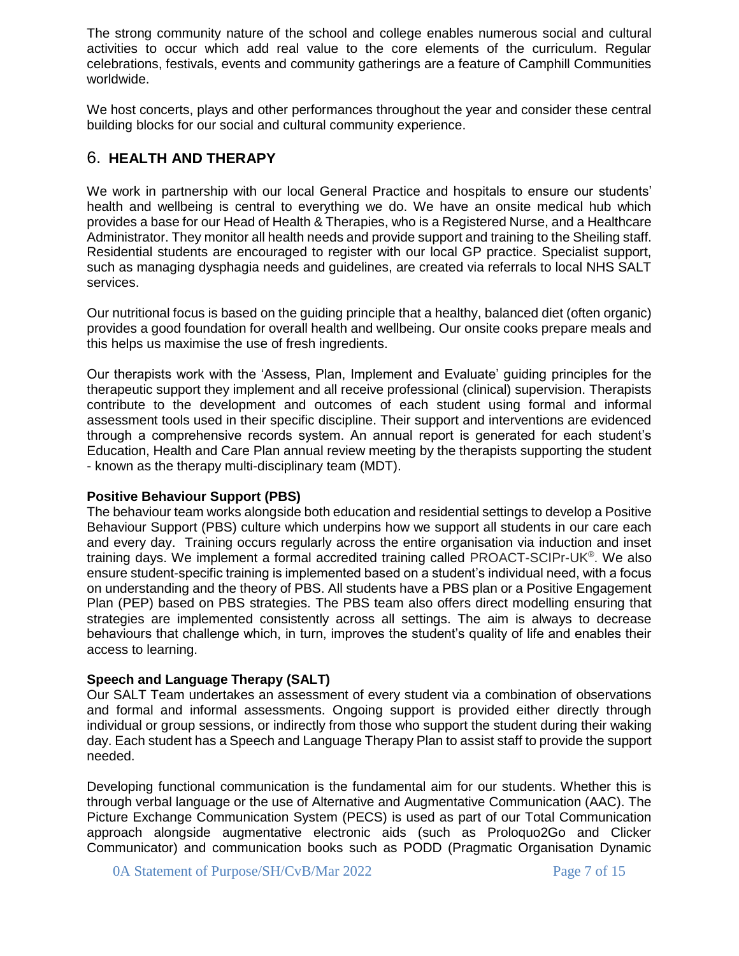The strong community nature of the school and college enables numerous social and cultural activities to occur which add real value to the core elements of the curriculum. Regular celebrations, festivals, events and community gatherings are a feature of Camphill Communities worldwide.

We host concerts, plays and other performances throughout the year and consider these central building blocks for our social and cultural community experience.

# 6. **HEALTH AND THERAPY**

We work in partnership with our local General Practice and hospitals to ensure our students' health and wellbeing is central to everything we do. We have an onsite medical hub which provides a base for our Head of Health & Therapies, who is a Registered Nurse, and a Healthcare Administrator. They monitor all health needs and provide support and training to the Sheiling staff. Residential students are encouraged to register with our local GP practice. Specialist support, such as managing dysphagia needs and guidelines, are created via referrals to local NHS SALT services.

Our nutritional focus is based on the guiding principle that a healthy, balanced diet (often organic) provides a good foundation for overall health and wellbeing. Our onsite cooks prepare meals and this helps us maximise the use of fresh ingredients.

Our therapists work with the 'Assess, Plan, Implement and Evaluate' guiding principles for the therapeutic support they implement and all receive professional (clinical) supervision. Therapists contribute to the development and outcomes of each student using formal and informal assessment tools used in their specific discipline. Their support and interventions are evidenced through a comprehensive records system. An annual report is generated for each student's Education, Health and Care Plan annual review meeting by the therapists supporting the student - known as the therapy multi-disciplinary team (MDT).

#### **Positive Behaviour Support (PBS)**

The behaviour team works alongside both education and residential settings to develop a Positive Behaviour Support (PBS) culture which underpins how we support all students in our care each and every day. Training occurs regularly across the entire organisation via induction and inset training days. We implement a formal accredited training called PROACT-SCIPr-UK®. We also ensure student-specific training is implemented based on a student's individual need, with a focus on understanding and the theory of PBS. All students have a PBS plan or a Positive Engagement Plan (PEP) based on PBS strategies. The PBS team also offers direct modelling ensuring that strategies are implemented consistently across all settings. The aim is always to decrease behaviours that challenge which, in turn, improves the student's quality of life and enables their access to learning.

## **Speech and Language Therapy (SALT)**

Our SALT Team undertakes an assessment of every student via a combination of observations and formal and informal assessments. Ongoing support is provided either directly through individual or group sessions, or indirectly from those who support the student during their waking day. Each student has a Speech and Language Therapy Plan to assist staff to provide the support needed.

Developing functional communication is the fundamental aim for our students. Whether this is through verbal language or the use of Alternative and Augmentative Communication (AAC). The Picture Exchange Communication System (PECS) is used as part of our Total Communication approach alongside augmentative electronic aids (such as Proloquo2Go and Clicker Communicator) and communication books such as PODD (Pragmatic Organisation Dynamic

0A Statement of Purpose/SH/CvB/Mar 2022 Page 7 of 15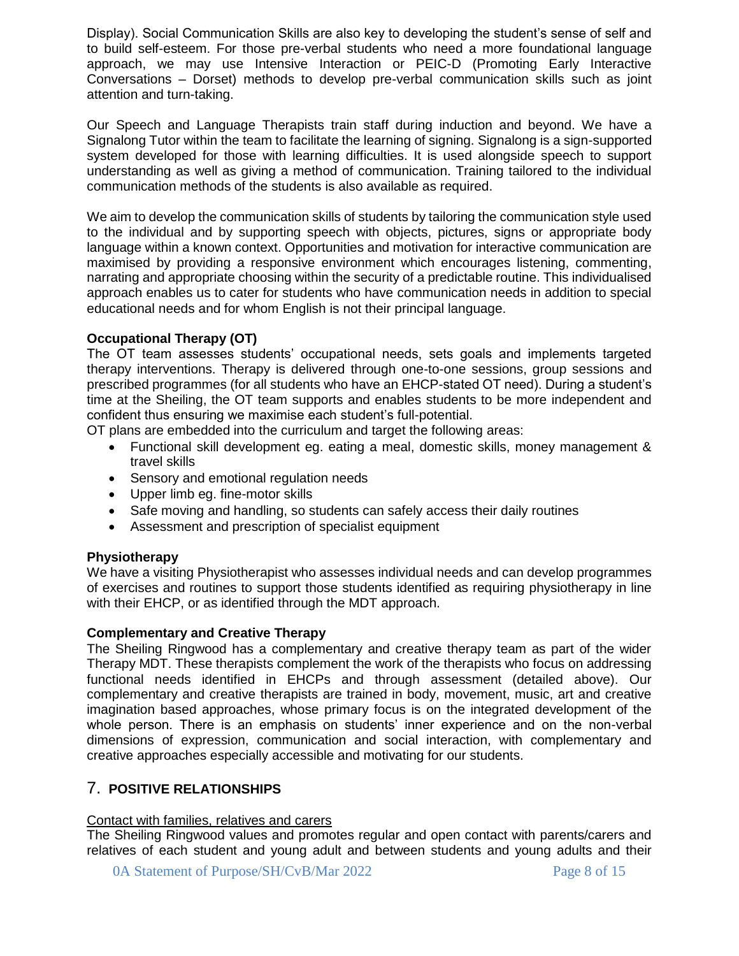Display). Social Communication Skills are also key to developing the student's sense of self and to build self-esteem. For those pre-verbal students who need a more foundational language approach, we may use Intensive Interaction or PEIC-D (Promoting Early Interactive Conversations – Dorset) methods to develop pre-verbal communication skills such as joint attention and turn-taking.

Our Speech and Language Therapists train staff during induction and beyond. We have a Signalong Tutor within the team to facilitate the learning of signing. Signalong is a sign-supported system developed for those with learning difficulties. It is used alongside speech to support understanding as well as giving a method of communication. Training tailored to the individual communication methods of the students is also available as required.

We aim to develop the communication skills of students by tailoring the communication style used to the individual and by supporting speech with objects, pictures, signs or appropriate body language within a known context. Opportunities and motivation for interactive communication are maximised by providing a responsive environment which encourages listening, commenting, narrating and appropriate choosing within the security of a predictable routine. This individualised approach enables us to cater for students who have communication needs in addition to special educational needs and for whom English is not their principal language.

## **Occupational Therapy (OT)**

The OT team assesses students' occupational needs, sets goals and implements targeted therapy interventions. Therapy is delivered through one-to-one sessions, group sessions and prescribed programmes (for all students who have an EHCP-stated OT need). During a student's time at the Sheiling, the OT team supports and enables students to be more independent and confident thus ensuring we maximise each student's full-potential.

OT plans are embedded into the curriculum and target the following areas:

- Functional skill development eg. eating a meal, domestic skills, money management & travel skills
- Sensory and emotional regulation needs
- Upper limb eg. fine-motor skills
- Safe moving and handling, so students can safely access their daily routines
- Assessment and prescription of specialist equipment

## **Physiotherapy**

We have a visiting Physiotherapist who assesses individual needs and can develop programmes of exercises and routines to support those students identified as requiring physiotherapy in line with their EHCP, or as identified through the MDT approach.

## **Complementary and Creative Therapy**

The Sheiling Ringwood has a complementary and creative therapy team as part of the wider Therapy MDT. These therapists complement the work of the therapists who focus on addressing functional needs identified in EHCPs and through assessment (detailed above). Our complementary and creative therapists are trained in body, movement, music, art and creative imagination based approaches, whose primary focus is on the integrated development of the whole person. There is an emphasis on students' inner experience and on the non-verbal dimensions of expression, communication and social interaction, with complementary and creative approaches especially accessible and motivating for our students.

# 7. **POSITIVE RELATIONSHIPS**

## Contact with families, relatives and carers

The Sheiling Ringwood values and promotes regular and open contact with parents/carers and relatives of each student and young adult and between students and young adults and their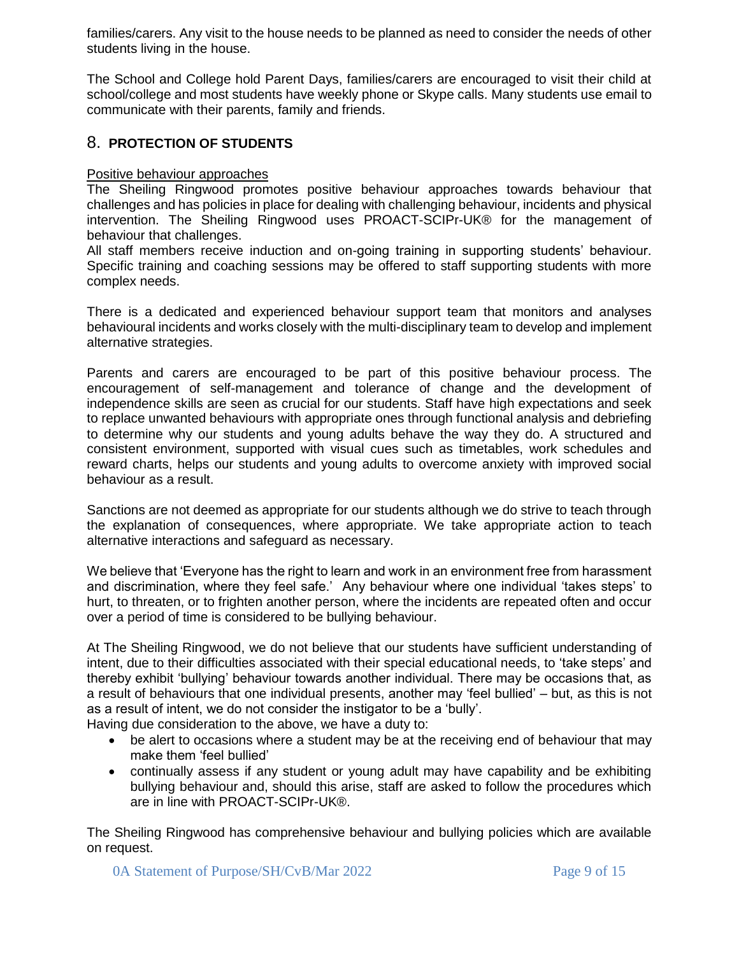families/carers. Any visit to the house needs to be planned as need to consider the needs of other students living in the house.

The School and College hold Parent Days, families/carers are encouraged to visit their child at school/college and most students have weekly phone or Skype calls. Many students use email to communicate with their parents, family and friends.

# 8. **PROTECTION OF STUDENTS**

### Positive behaviour approaches

The Sheiling Ringwood promotes positive behaviour approaches towards behaviour that challenges and has policies in place for dealing with challenging behaviour, incidents and physical intervention. The Sheiling Ringwood uses PROACT-SCIPr-UK® for the management of behaviour that challenges.

All staff members receive induction and on-going training in supporting students' behaviour. Specific training and coaching sessions may be offered to staff supporting students with more complex needs.

There is a dedicated and experienced behaviour support team that monitors and analyses behavioural incidents and works closely with the multi-disciplinary team to develop and implement alternative strategies.

Parents and carers are encouraged to be part of this positive behaviour process. The encouragement of self-management and tolerance of change and the development of independence skills are seen as crucial for our students. Staff have high expectations and seek to replace unwanted behaviours with appropriate ones through functional analysis and debriefing to determine why our students and young adults behave the way they do. A structured and consistent environment, supported with visual cues such as timetables, work schedules and reward charts, helps our students and young adults to overcome anxiety with improved social behaviour as a result.

Sanctions are not deemed as appropriate for our students although we do strive to teach through the explanation of consequences, where appropriate. We take appropriate action to teach alternative interactions and safeguard as necessary.

We believe that 'Everyone has the right to learn and work in an environment free from harassment and discrimination, where they feel safe.' Any behaviour where one individual 'takes steps' to hurt, to threaten, or to frighten another person, where the incidents are repeated often and occur over a period of time is considered to be bullying behaviour.

At The Sheiling Ringwood, we do not believe that our students have sufficient understanding of intent, due to their difficulties associated with their special educational needs, to 'take steps' and thereby exhibit 'bullying' behaviour towards another individual. There may be occasions that, as a result of behaviours that one individual presents, another may 'feel bullied' – but, as this is not as a result of intent, we do not consider the instigator to be a 'bully'.

Having due consideration to the above, we have a duty to:

- be alert to occasions where a student may be at the receiving end of behaviour that may make them 'feel bullied'
- continually assess if any student or young adult may have capability and be exhibiting bullying behaviour and, should this arise, staff are asked to follow the procedures which are in line with PROACT-SCIPr-UK®.

The Sheiling Ringwood has comprehensive behaviour and bullying policies which are available on request.

0A Statement of Purpose/SH/CvB/Mar 2022 Page 9 of 15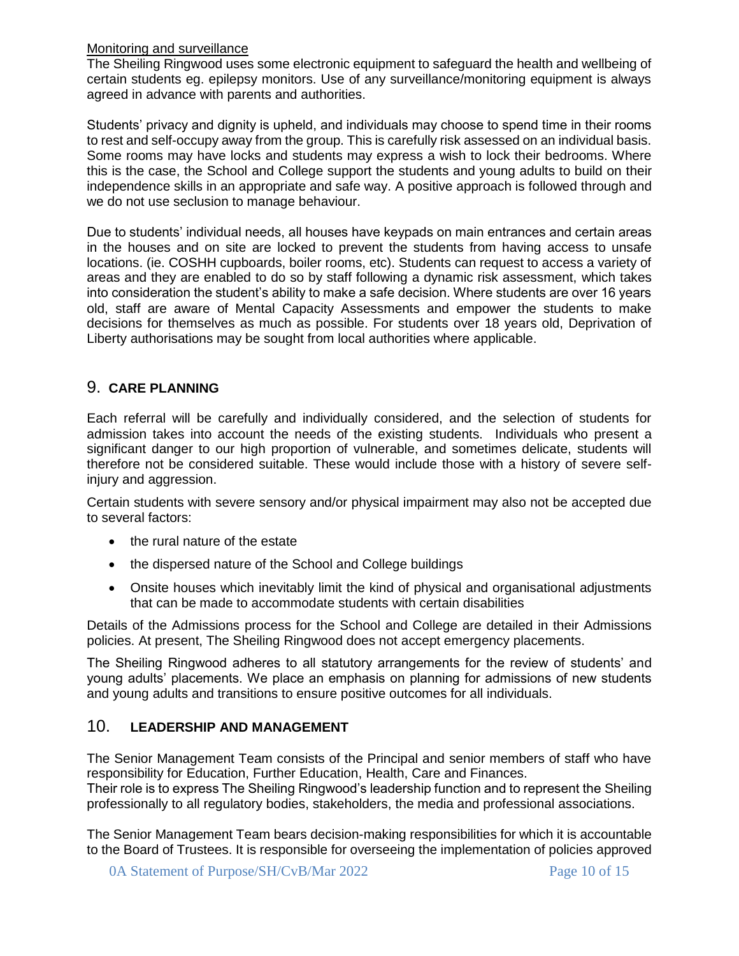## Monitoring and surveillance

The Sheiling Ringwood uses some electronic equipment to safeguard the health and wellbeing of certain students eg. epilepsy monitors. Use of any surveillance/monitoring equipment is always agreed in advance with parents and authorities.

Students' privacy and dignity is upheld, and individuals may choose to spend time in their rooms to rest and self-occupy away from the group. This is carefully risk assessed on an individual basis. Some rooms may have locks and students may express a wish to lock their bedrooms. Where this is the case, the School and College support the students and young adults to build on their independence skills in an appropriate and safe way. A positive approach is followed through and we do not use seclusion to manage behaviour.

Due to students' individual needs, all houses have keypads on main entrances and certain areas in the houses and on site are locked to prevent the students from having access to unsafe locations. (ie. COSHH cupboards, boiler rooms, etc). Students can request to access a variety of areas and they are enabled to do so by staff following a dynamic risk assessment, which takes into consideration the student's ability to make a safe decision. Where students are over 16 years old, staff are aware of Mental Capacity Assessments and empower the students to make decisions for themselves as much as possible. For students over 18 years old, Deprivation of Liberty authorisations may be sought from local authorities where applicable.

# 9. **CARE PLANNING**

Each referral will be carefully and individually considered, and the selection of students for admission takes into account the needs of the existing students. Individuals who present a significant danger to our high proportion of vulnerable, and sometimes delicate, students will therefore not be considered suitable. These would include those with a history of severe selfinjury and aggression.

Certain students with severe sensory and/or physical impairment may also not be accepted due to several factors:

- the rural nature of the estate
- the dispersed nature of the School and College buildings
- Onsite houses which inevitably limit the kind of physical and organisational adjustments that can be made to accommodate students with certain disabilities

Details of the Admissions process for the School and College are detailed in their Admissions policies. At present, The Sheiling Ringwood does not accept emergency placements.

The Sheiling Ringwood adheres to all statutory arrangements for the review of students' and young adults' placements. We place an emphasis on planning for admissions of new students and young adults and transitions to ensure positive outcomes for all individuals.

# 10. **LEADERSHIP AND MANAGEMENT**

The Senior Management Team consists of the Principal and senior members of staff who have responsibility for Education, Further Education, Health, Care and Finances. Their role is to express The Sheiling Ringwood's leadership function and to represent the Sheiling professionally to all regulatory bodies, stakeholders, the media and professional associations.

The Senior Management Team bears decision-making responsibilities for which it is accountable to the Board of Trustees. It is responsible for overseeing the implementation of policies approved

0A Statement of Purpose/SH/CvB/Mar 2022 Page 10 of 15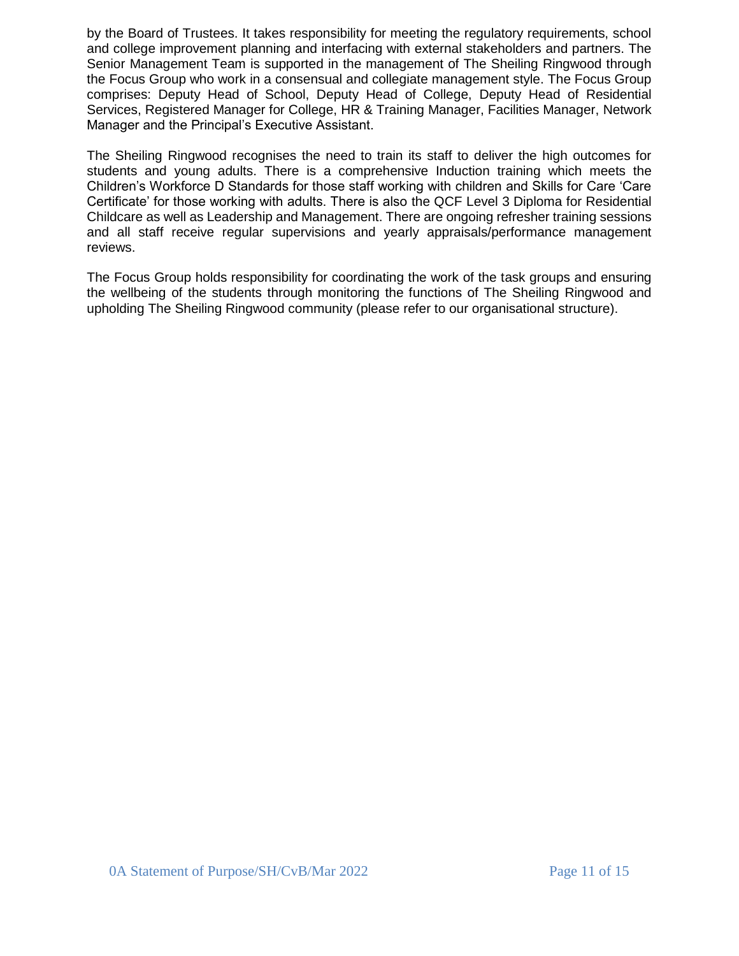by the Board of Trustees. It takes responsibility for meeting the regulatory requirements, school and college improvement planning and interfacing with external stakeholders and partners. The Senior Management Team is supported in the management of The Sheiling Ringwood through the Focus Group who work in a consensual and collegiate management style. The Focus Group comprises: Deputy Head of School, Deputy Head of College, Deputy Head of Residential Services, Registered Manager for College, HR & Training Manager, Facilities Manager, Network Manager and the Principal's Executive Assistant.

The Sheiling Ringwood recognises the need to train its staff to deliver the high outcomes for students and young adults. There is a comprehensive Induction training which meets the Children's Workforce D Standards for those staff working with children and Skills for Care 'Care Certificate' for those working with adults. There is also the QCF Level 3 Diploma for Residential Childcare as well as Leadership and Management. There are ongoing refresher training sessions and all staff receive regular supervisions and yearly appraisals/performance management reviews.

The Focus Group holds responsibility for coordinating the work of the task groups and ensuring the wellbeing of the students through monitoring the functions of The Sheiling Ringwood and upholding The Sheiling Ringwood community (please refer to our organisational structure).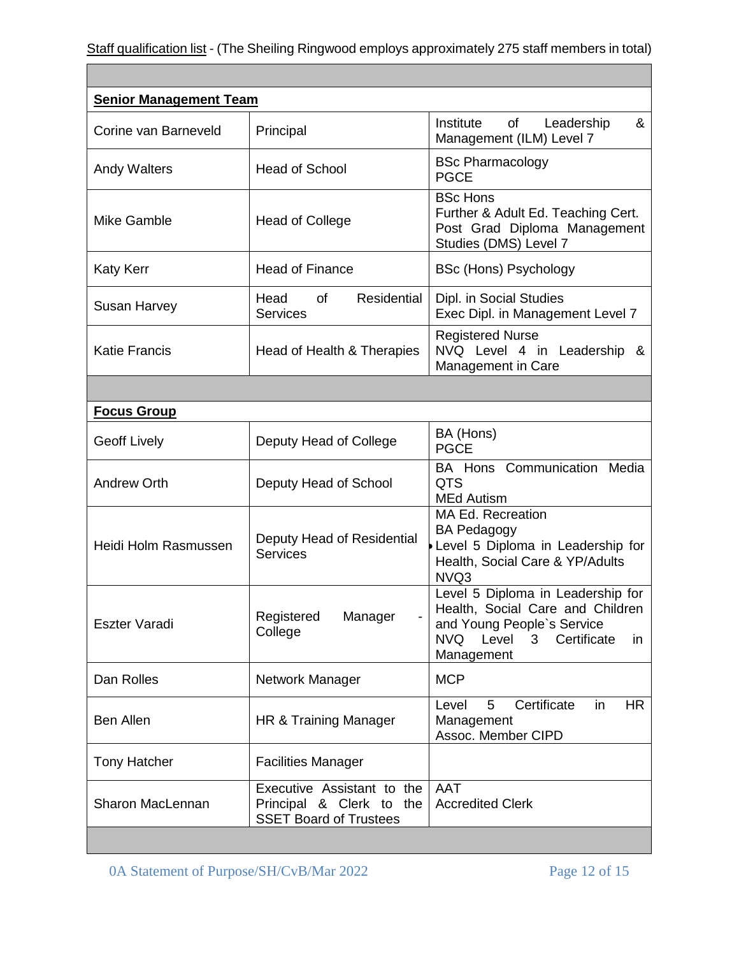Г

| <b>Senior Management Team</b> |                                                                                         |                                                                                                                                                                     |  |  |
|-------------------------------|-----------------------------------------------------------------------------------------|---------------------------------------------------------------------------------------------------------------------------------------------------------------------|--|--|
| Corine van Barneveld          | Principal                                                                               | Institute<br>of<br>&<br>Leadership<br>Management (ILM) Level 7                                                                                                      |  |  |
| <b>Andy Walters</b>           | <b>Head of School</b>                                                                   | <b>BSc Pharmacology</b><br><b>PGCE</b>                                                                                                                              |  |  |
| Mike Gamble                   | <b>Head of College</b>                                                                  | <b>BSc Hons</b><br>Further & Adult Ed. Teaching Cert.<br>Post Grad Diploma Management<br>Studies (DMS) Level 7                                                      |  |  |
| <b>Katy Kerr</b>              | <b>Head of Finance</b>                                                                  | <b>BSc (Hons) Psychology</b>                                                                                                                                        |  |  |
| Susan Harvey                  | Residential<br>Head<br>0f<br><b>Services</b>                                            | Dipl. in Social Studies<br>Exec Dipl. in Management Level 7                                                                                                         |  |  |
| <b>Katie Francis</b>          | Head of Health & Therapies                                                              | <b>Registered Nurse</b><br>NVQ Level 4 in Leadership &<br>Management in Care                                                                                        |  |  |
|                               |                                                                                         |                                                                                                                                                                     |  |  |
| <b>Focus Group</b>            |                                                                                         |                                                                                                                                                                     |  |  |
| <b>Geoff Lively</b>           | Deputy Head of College                                                                  | BA (Hons)<br><b>PGCE</b>                                                                                                                                            |  |  |
| <b>Andrew Orth</b>            | Deputy Head of School                                                                   | BA Hons Communication Media<br><b>QTS</b><br><b>MEd Autism</b>                                                                                                      |  |  |
| Heidi Holm Rasmussen          | Deputy Head of Residential<br><b>Services</b>                                           | MA Ed. Recreation<br><b>BA Pedagogy</b><br>Level 5 Diploma in Leadership for<br>Health, Social Care & YP/Adults<br>NVQ3                                             |  |  |
| <b>Eszter Varadi</b>          | Registered<br>Manager<br>College                                                        | Level 5 Diploma in Leadership for<br>Health, Social Care and Children<br>and Young People's Service<br><b>NVQ</b><br>Level<br>Certificate<br>3<br>in.<br>Management |  |  |
| Dan Rolles                    | Network Manager                                                                         | <b>MCP</b>                                                                                                                                                          |  |  |
| <b>Ben Allen</b>              | HR & Training Manager                                                                   | 5<br>Certificate<br>HR.<br>Level<br>in<br>Management<br>Assoc. Member CIPD                                                                                          |  |  |
| <b>Tony Hatcher</b>           | <b>Facilities Manager</b>                                                               |                                                                                                                                                                     |  |  |
| Sharon MacLennan              | Executive Assistant to the<br>Principal & Clerk to the<br><b>SSET Board of Trustees</b> | <b>AAT</b><br><b>Accredited Clerk</b>                                                                                                                               |  |  |

 $\overline{\phantom{0}}$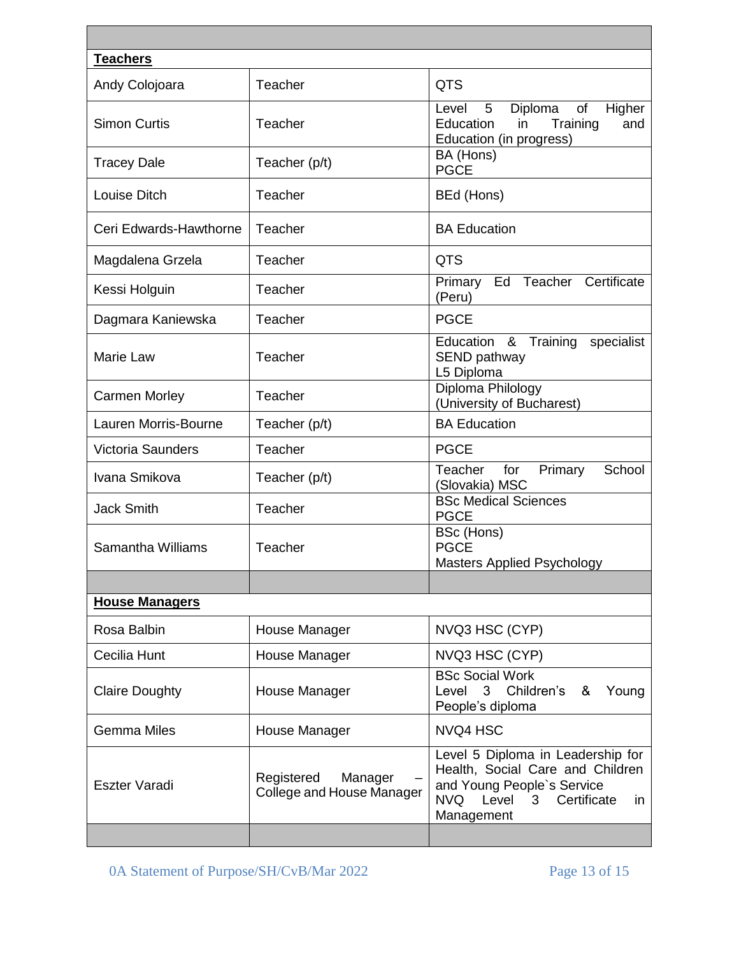| <b>Teachers</b>          |                                                           |                                                                                                                                                                        |
|--------------------------|-----------------------------------------------------------|------------------------------------------------------------------------------------------------------------------------------------------------------------------------|
| Andy Colojoara           | Teacher                                                   | <b>QTS</b>                                                                                                                                                             |
| <b>Simon Curtis</b>      | Teacher                                                   | 5<br>Diploma<br>of<br>Higher<br>Level<br>Training<br>Education<br>in<br>and<br>Education (in progress)                                                                 |
| <b>Tracey Dale</b>       | Teacher (p/t)                                             | BA (Hons)<br><b>PGCE</b>                                                                                                                                               |
| Louise Ditch             | Teacher                                                   | BEd (Hons)                                                                                                                                                             |
| Ceri Edwards-Hawthorne   | Teacher                                                   | <b>BA Education</b>                                                                                                                                                    |
| Magdalena Grzela         | Teacher                                                   | <b>QTS</b>                                                                                                                                                             |
| Kessi Holguin            | Teacher                                                   | Primary Ed Teacher<br>Certificate<br>(Peru)                                                                                                                            |
| Dagmara Kaniewska        | Teacher                                                   | <b>PGCE</b>                                                                                                                                                            |
| Marie Law                | Teacher                                                   | Education & Training<br>specialist<br>SEND pathway<br>L5 Diploma                                                                                                       |
| <b>Carmen Morley</b>     | Teacher                                                   | Diploma Philology<br>(University of Bucharest)                                                                                                                         |
| Lauren Morris-Bourne     | Teacher (p/t)                                             | <b>BA Education</b>                                                                                                                                                    |
| <b>Victoria Saunders</b> | Teacher                                                   | <b>PGCE</b>                                                                                                                                                            |
| Ivana Smikova            | Teacher (p/t)                                             | Teacher<br>School<br>Primary<br>for<br>(Slovakia) MSC                                                                                                                  |
| <b>Jack Smith</b>        | Teacher                                                   | <b>BSc Medical Sciences</b><br><b>PGCE</b>                                                                                                                             |
| Samantha Williams        | Teacher                                                   | BSc (Hons)<br><b>PGCE</b><br><b>Masters Applied Psychology</b>                                                                                                         |
|                          |                                                           |                                                                                                                                                                        |
| <b>House Managers</b>    |                                                           |                                                                                                                                                                        |
| Rosa Balbin              | House Manager                                             | NVQ3 HSC (CYP)                                                                                                                                                         |
| Cecilia Hunt             | House Manager                                             | NVQ3 HSC (CYP)                                                                                                                                                         |
| <b>Claire Doughty</b>    | House Manager                                             | <b>BSc Social Work</b><br>Level<br>3 Children's<br>&<br>Young<br>People's diploma                                                                                      |
| <b>Gemma Miles</b>       | House Manager                                             | NVQ4 HSC                                                                                                                                                               |
| Eszter Varadi            | Registered<br>Manager<br><b>College and House Manager</b> | Level 5 Diploma in Leadership for<br>Health, Social Care and Children<br>and Young People's Service<br>NVQ Level<br>3 <sup>7</sup><br>Certificate<br>in.<br>Management |
|                          |                                                           |                                                                                                                                                                        |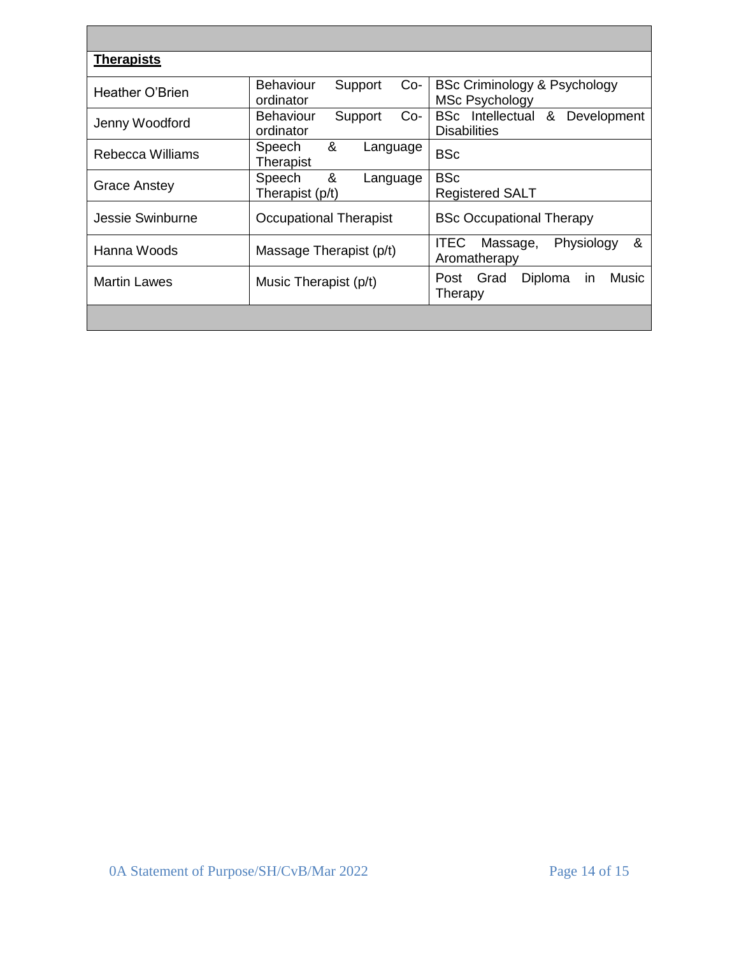| <b>Therapists</b>   |                                                   |                                                                    |
|---------------------|---------------------------------------------------|--------------------------------------------------------------------|
| Heather O'Brien     | <b>Behaviour</b><br>Support<br>$Co-$<br>ordinator | <b>BSc Criminology &amp; Psychology</b><br><b>MSc Psychology</b>   |
| Jenny Woodford      | <b>Behaviour</b><br>Support<br>Co-<br>ordinator   | <b>BSc</b> Intellectual<br>&<br>Development<br><b>Disabilities</b> |
| Rebecca Williams    | &<br>Speech<br>Language<br>Therapist              | <b>BSc</b>                                                         |
| Grace Anstey        | &<br>Speech<br>Language<br>Therapist (p/t)        | <b>BSc</b><br><b>Registered SALT</b>                               |
| Jessie Swinburne    | <b>Occupational Therapist</b>                     | <b>BSc Occupational Therapy</b>                                    |
| Hanna Woods         | Massage Therapist (p/t)                           | &<br><b>ITEC</b><br>Physiology<br>Massage,<br>Aromatherapy         |
| <b>Martin Lawes</b> | Music Therapist (p/t)                             | Music<br>Diploma<br>Post Grad<br>in.<br>Therapy                    |
|                     |                                                   |                                                                    |